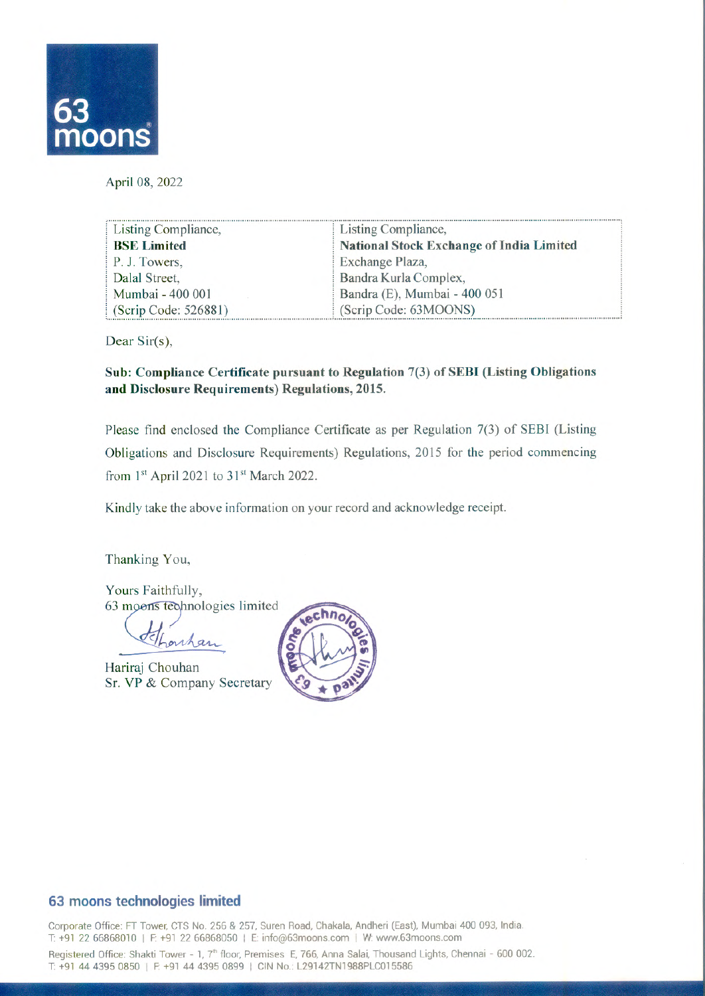

April 08, 2022

| Listing Compliance,  | Listing Compliance,                             |
|----------------------|-------------------------------------------------|
| <b>BSE Limited</b>   | <b>National Stock Exchange of India Limited</b> |
| P. J. Towers,        | Exchange Plaza,                                 |
| Dalal Street,        | Bandra Kurla Complex,                           |
| Mumbai - 400 001     | Bandra (E), Mumbai - 400 051                    |
| (Scrip Code: 526881) | (Scrip Code: 63MOONS)                           |

Dear Sir(s),

**Sub: ComplianceCertificatepursuant to Regulation 7(3) of SEBI(ListingObligations andDisclosure Requirements)Regulations, 2015.** 

Please find enclosed the Compliance Certificate as per Regulation 7(3) of SEBI (Listing Obligations and Disclosure Requirements) Regulations, 2015 for the period commencing from  $1<sup>st</sup>$  April 2021 to  $31<sup>st</sup>$  March 2022.

Kindly take the above information on your record and acknowledge receipt.

Thanking You,

Yours Faithfully, 63 moons technologies limited

Lonhan

Hariraj Chouhan Sr. VP & Company Secretary



## **63 moons technologies limited**

Corporate Office: FT Tower, CTS No. 256 & 257, Suren Road, Chakala, Andheri (East), Mumbai 400 093, India. T: +91 22 66868010 I F. +91 22 66868050 I E: info@63moons.com I W. www.63moons.com

Registered Office: Shakti Tower - 1, 7<sup>th</sup> floor, Premises E, 766, Anna Salai, Thousand Lights, Chennai - 600 002. T: +91 44 4395 0850 | F: +91 44 4395 0899 | CIN No.: L29142TN1988PLC015586